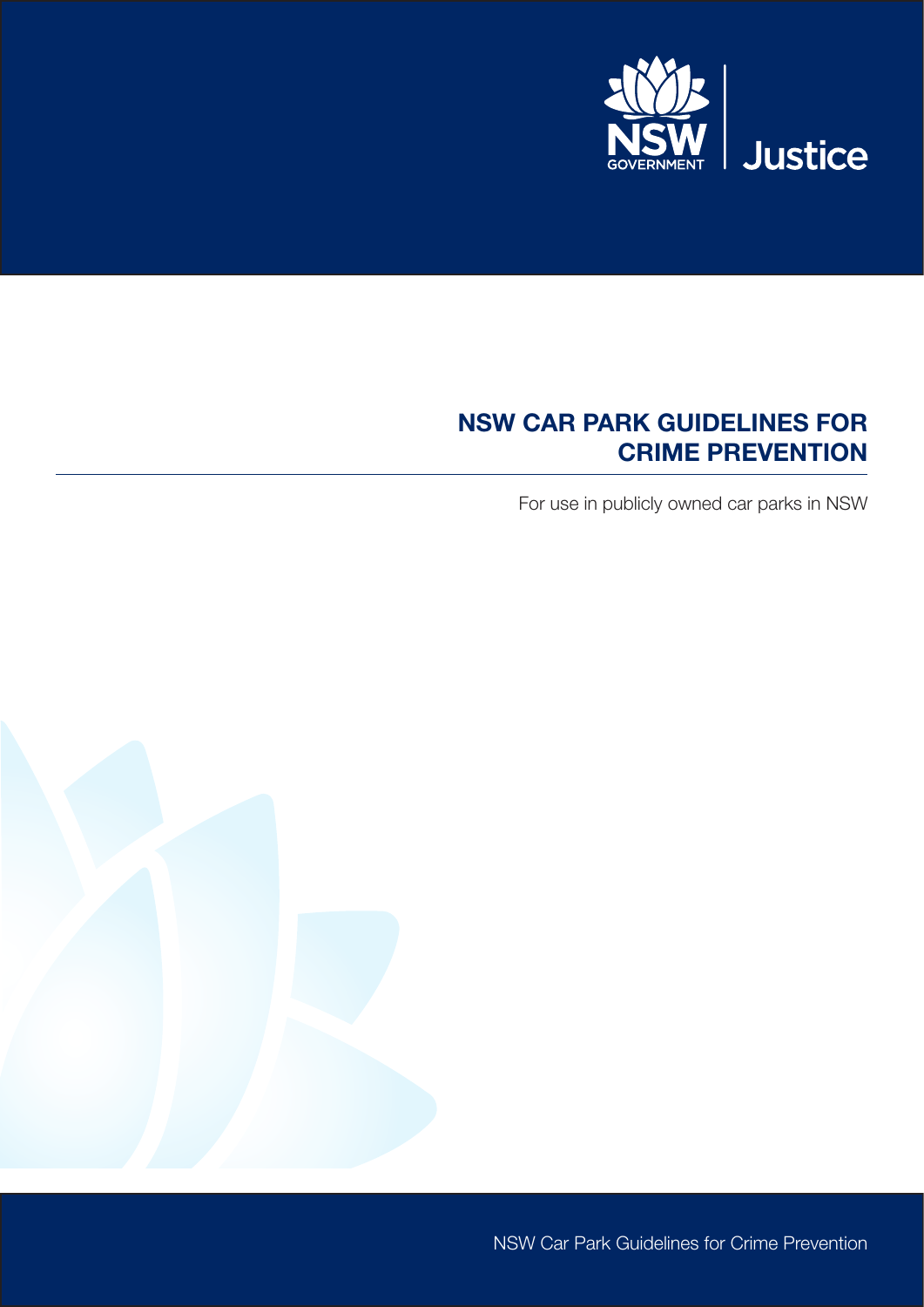

# NSW CAR PARK GUIDELINES FOR CRIME PREVENTION

For use in publicly owned car parks in NSW



NSW Car Park Guidelines for Crime Prevention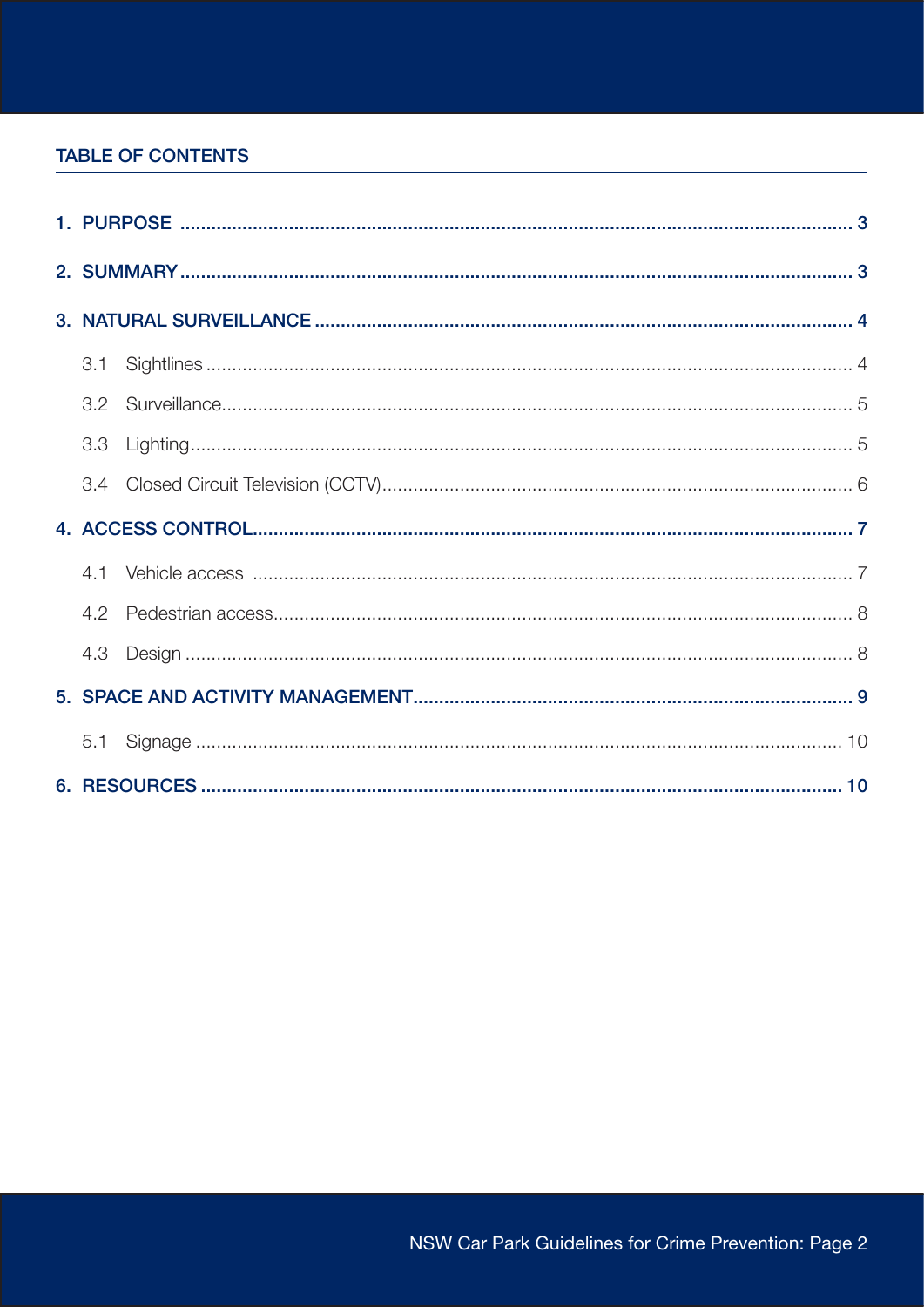### **TABLE OF CONTENTS**

|  | 3.1 |  |  |
|--|-----|--|--|
|  |     |  |  |
|  | 3.3 |  |  |
|  |     |  |  |
|  |     |  |  |
|  |     |  |  |
|  | 4.2 |  |  |
|  |     |  |  |
|  |     |  |  |
|  |     |  |  |
|  |     |  |  |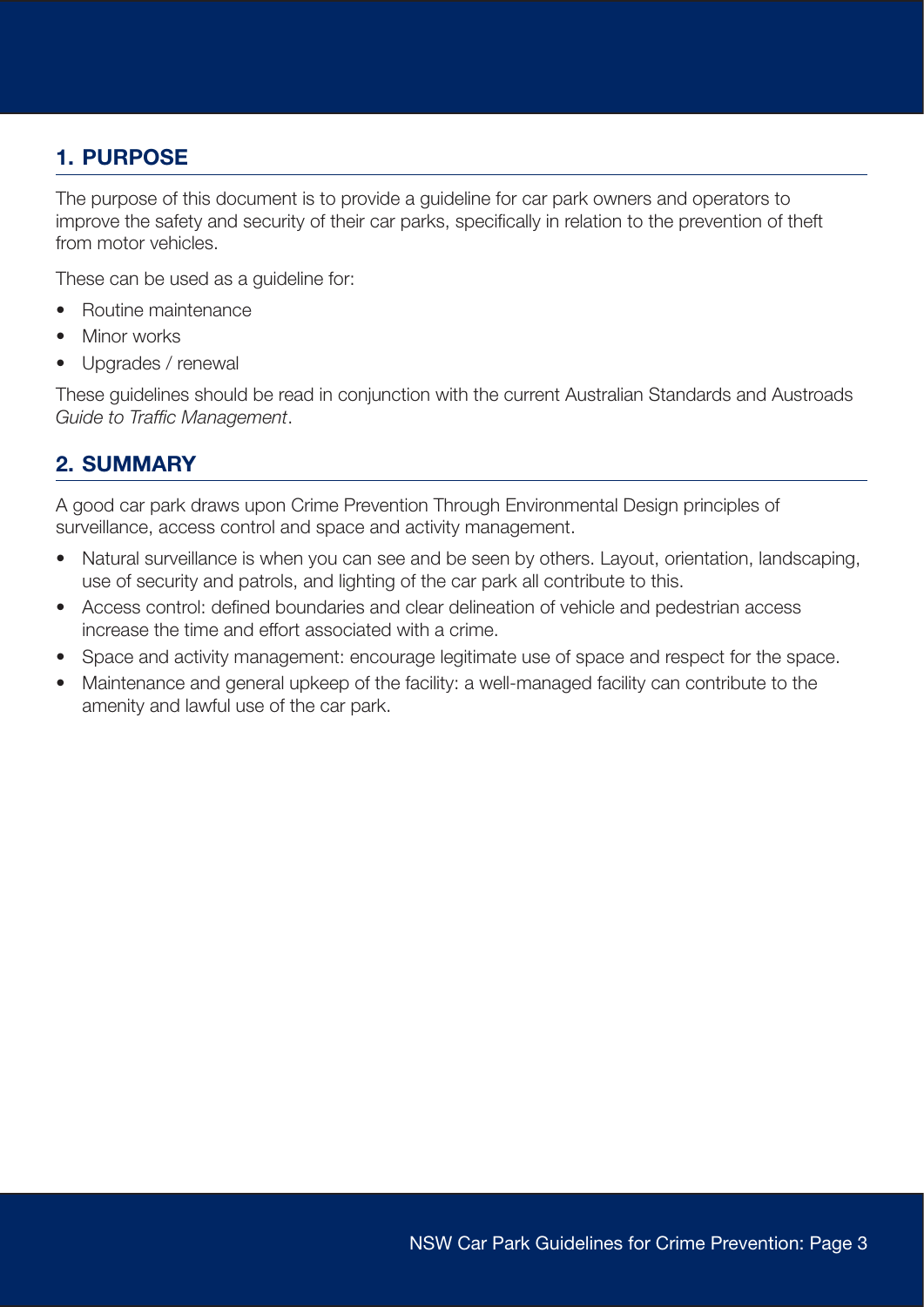## <span id="page-2-0"></span>1. PURPOSE

The purpose of this document is to provide a guideline for car park owners and operators to improve the safety and security of their car parks, specifically in relation to the prevention of theft from motor vehicles.

These can be used as a guideline for:

- Routine maintenance
- Minor works
- Upgrades / renewal

These guidelines should be read in conjunction with the current Australian Standards and Austroads *Guide to Traffic Management*.

### 2. SUMMARY

A good car park draws upon Crime Prevention Through Environmental Design principles of surveillance, access control and space and activity management.

- Natural surveillance is when you can see and be seen by others. Layout, orientation, landscaping, use of security and patrols, and lighting of the car park all contribute to this.
- Access control: defined boundaries and clear delineation of vehicle and pedestrian access increase the time and effort associated with a crime.
- Space and activity management: encourage legitimate use of space and respect for the space.
- Maintenance and general upkeep of the facility: a well-managed facility can contribute to the amenity and lawful use of the car park.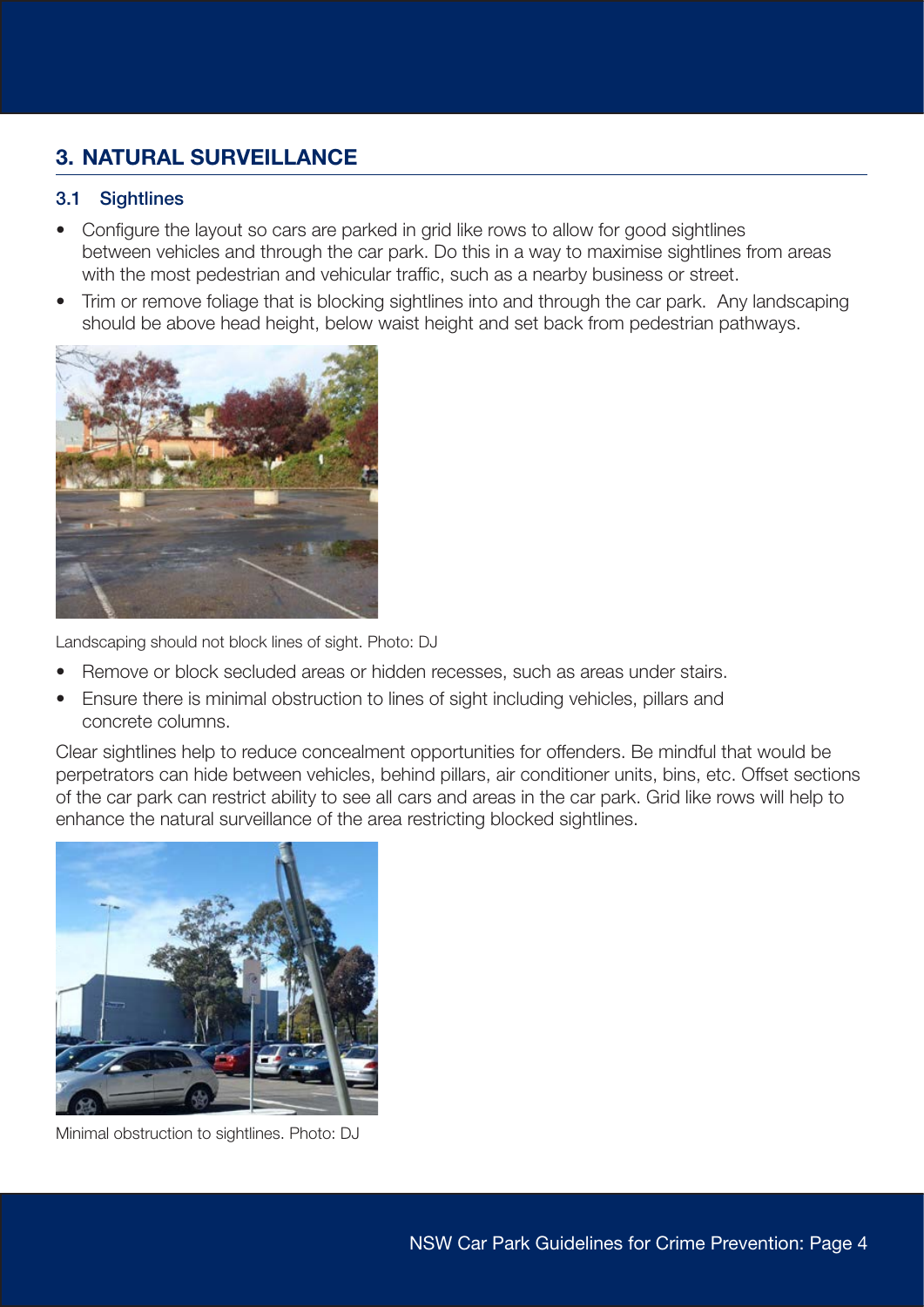# <span id="page-3-0"></span>3. NATURAL SURVEILLANCE

### 3.1 Sightlines

- Configure the layout so cars are parked in grid like rows to allow for good sightlines between vehicles and through the car park. Do this in a way to maximise sightlines from areas with the most pedestrian and vehicular traffic, such as a nearby business or street.
- Trim or remove foliage that is blocking sightlines into and through the car park. Any landscaping should be above head height, below waist height and set back from pedestrian pathways.



Landscaping should not block lines of sight. Photo: DJ

- Remove or block secluded areas or hidden recesses, such as areas under stairs.
- Ensure there is minimal obstruction to lines of sight including vehicles, pillars and concrete columns.

Clear sightlines help to reduce concealment opportunities for offenders. Be mindful that would be perpetrators can hide between vehicles, behind pillars, air conditioner units, bins, etc. Offset sections of the car park can restrict ability to see all cars and areas in the car park. Grid like rows will help to enhance the natural surveillance of the area restricting blocked sightlines.



Minimal obstruction to sightlines. Photo: DJ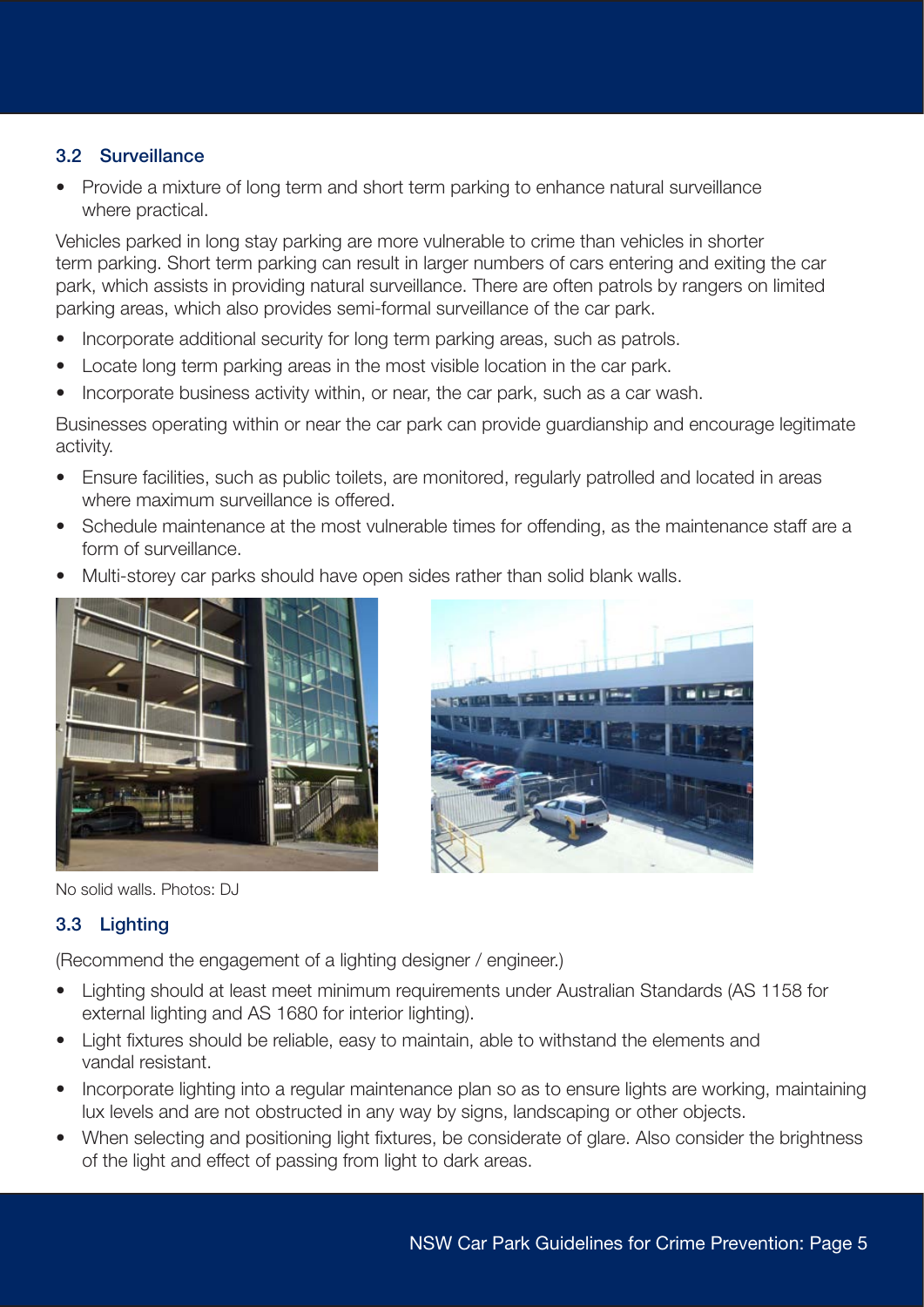### <span id="page-4-0"></span>3.2 Surveillance

• Provide a mixture of long term and short term parking to enhance natural surveillance where practical.

Vehicles parked in long stay parking are more vulnerable to crime than vehicles in shorter term parking. Short term parking can result in larger numbers of cars entering and exiting the car park, which assists in providing natural surveillance. There are often patrols by rangers on limited parking areas, which also provides semi-formal surveillance of the car park.

- Incorporate additional security for long term parking areas, such as patrols.
- Locate long term parking areas in the most visible location in the car park.
- Incorporate business activity within, or near, the car park, such as a car wash.

Businesses operating within or near the car park can provide guardianship and encourage legitimate activity.

- Ensure facilities, such as public toilets, are monitored, regularly patrolled and located in areas where maximum surveillance is offered.
- Schedule maintenance at the most vulnerable times for offending, as the maintenance staff are a form of surveillance.
- Multi-storey car parks should have open sides rather than solid blank walls.





No solid walls. Photos: DJ

### 3.3 Lighting

(Recommend the engagement of a lighting designer / engineer.)

- Lighting should at least meet minimum requirements under Australian Standards (AS 1158 for external lighting and AS 1680 for interior lighting).
- Light fixtures should be reliable, easy to maintain, able to withstand the elements and vandal resistant.
- Incorporate lighting into a regular maintenance plan so as to ensure lights are working, maintaining lux levels and are not obstructed in any way by signs, landscaping or other objects.
- When selecting and positioning light fixtures, be considerate of glare. Also consider the brightness of the light and effect of passing from light to dark areas.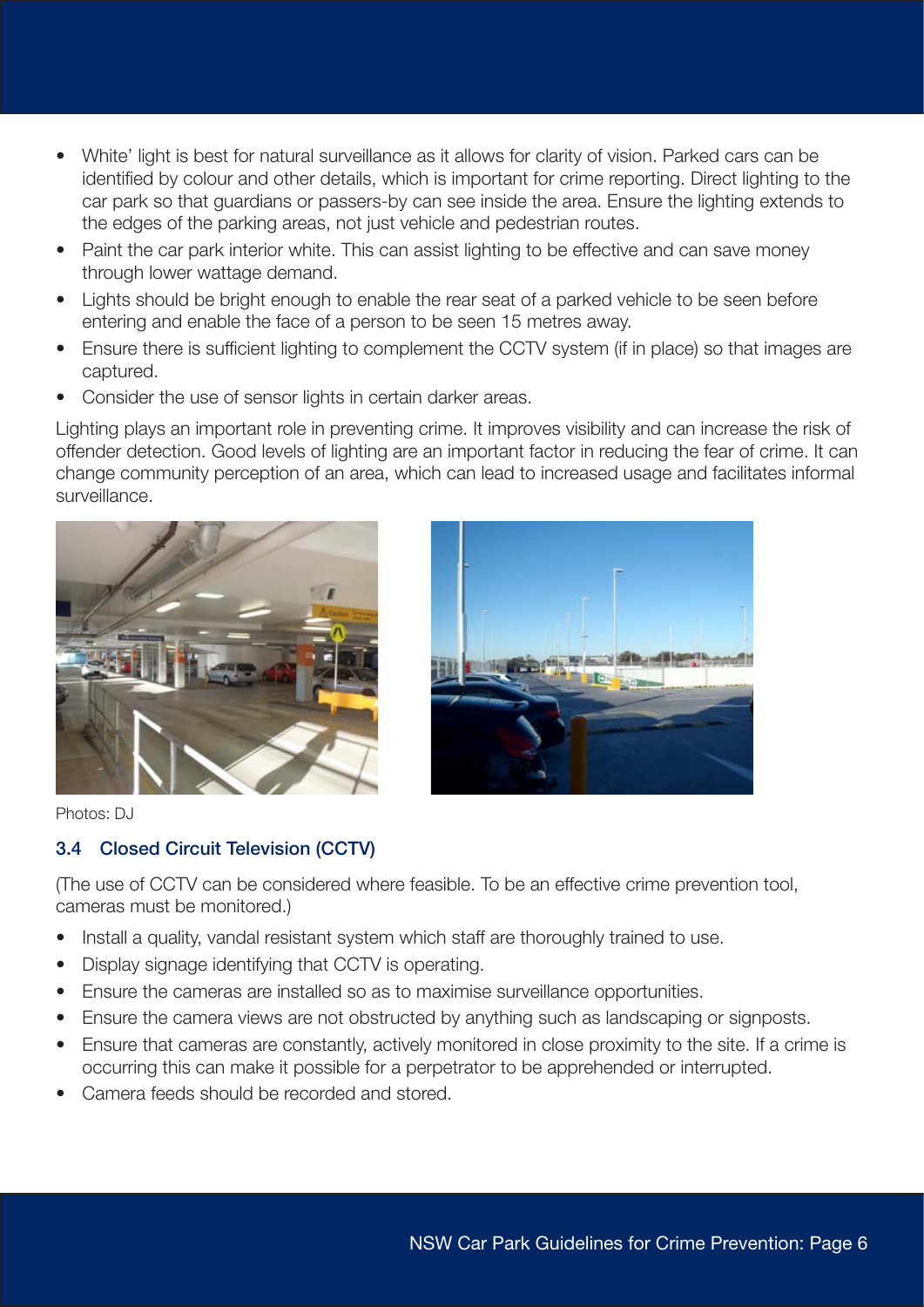- <span id="page-5-0"></span>• White' light is best for natural surveillance as it allows for clarity of vision. Parked cars can be identified by colour and other details, which is important for crime reporting. Direct lighting to the car park so that guardians or passers-by can see inside the area. Ensure the lighting extends to the edges of the parking areas, not just vehicle and pedestrian routes.
- Paint the car park interior white. This can assist lighting to be effective and can save money through lower wattage demand.
- Lights should be bright enough to enable the rear seat of a parked vehicle to be seen before entering and enable the face of a person to be seen 15 metres away.
- Ensure there is sufficient lighting to complement the CCTV system (if in place) so that images are captured.
- Consider the use of sensor lights in certain darker areas.

Lighting plays an important role in preventing crime. It improves visibility and can increase the risk of offender detection. Good levels of lighting are an important factor in reducing the fear of crime. It can change community perception of an area, which can lead to increased usage and facilitates informal surveillance.





Photos: DJ

### 3.4 Closed Circuit Television (CCTV)

(The use of CCTV can be considered where feasible. To be an effective crime prevention tool, cameras must be monitored.)

- Install a quality, vandal resistant system which staff are thoroughly trained to use.
- Display signage identifying that CCTV is operating.
- Ensure the cameras are installed so as to maximise surveillance opportunities.
- Ensure the camera views are not obstructed by anything such as landscaping or signposts.
- Ensure that cameras are constantly, actively monitored in close proximity to the site. If a crime is occurring this can make it possible for a perpetrator to be apprehended or interrupted.
- Camera feeds should be recorded and stored.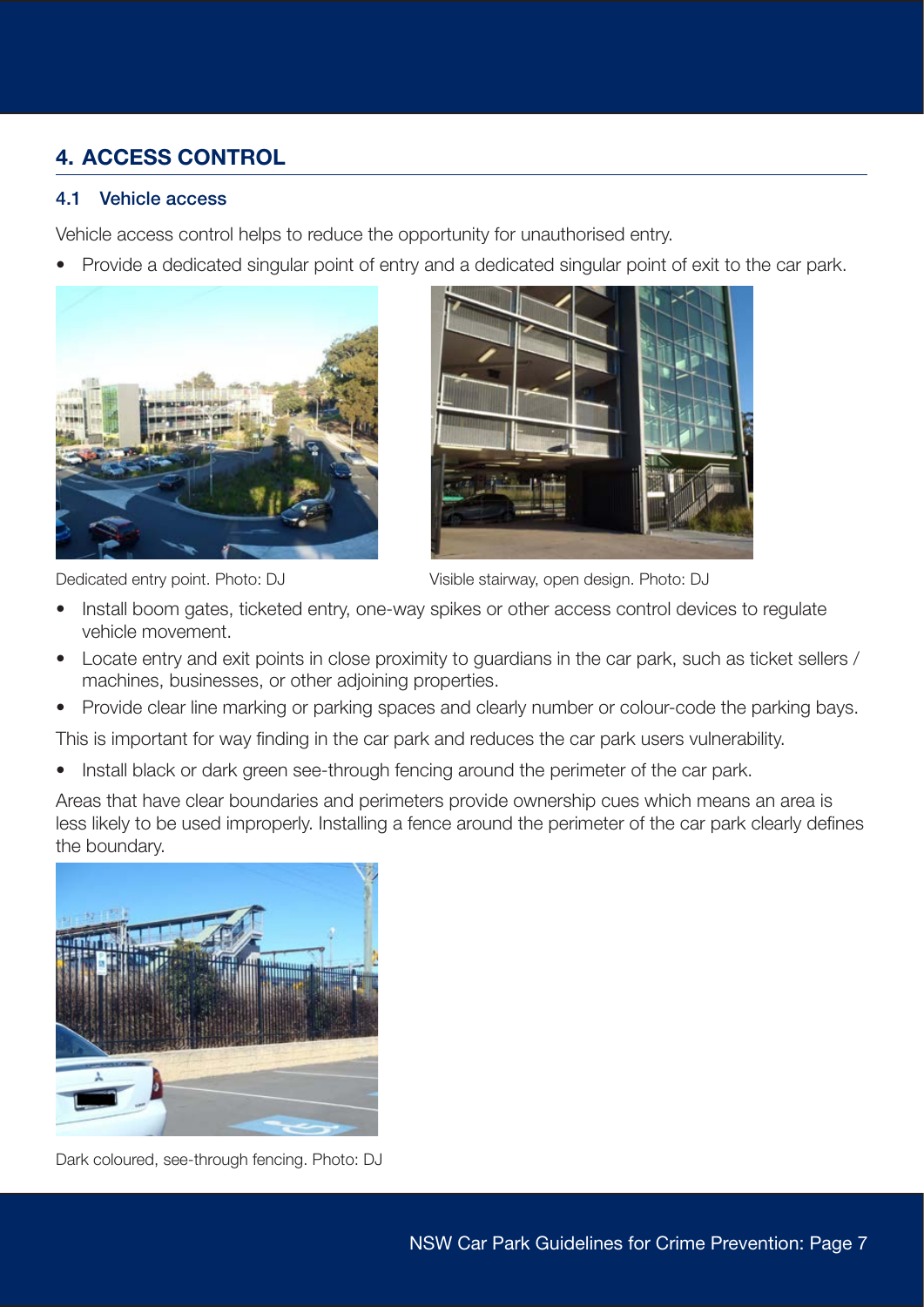# <span id="page-6-0"></span>4. ACCESS CONTROL

#### 4.1 Vehicle access

Vehicle access control helps to reduce the opportunity for unauthorised entry.

• Provide a dedicated singular point of entry and a dedicated singular point of exit to the car park.





Dedicated entry point. Photo: DJ Visible stairway, open design. Photo: DJ

- Install boom gates, ticketed entry, one-way spikes or other access control devices to regulate vehicle movement.
- Locate entry and exit points in close proximity to guardians in the car park, such as ticket sellers / machines, businesses, or other adjoining properties.
- Provide clear line marking or parking spaces and clearly number or colour-code the parking bays.

This is important for way finding in the car park and reduces the car park users vulnerability.

Install black or dark green see-through fencing around the perimeter of the car park.

Areas that have clear boundaries and perimeters provide ownership cues which means an area is less likely to be used improperly. Installing a fence around the perimeter of the car park clearly defines the boundary.



Dark coloured, see-through fencing. Photo: DJ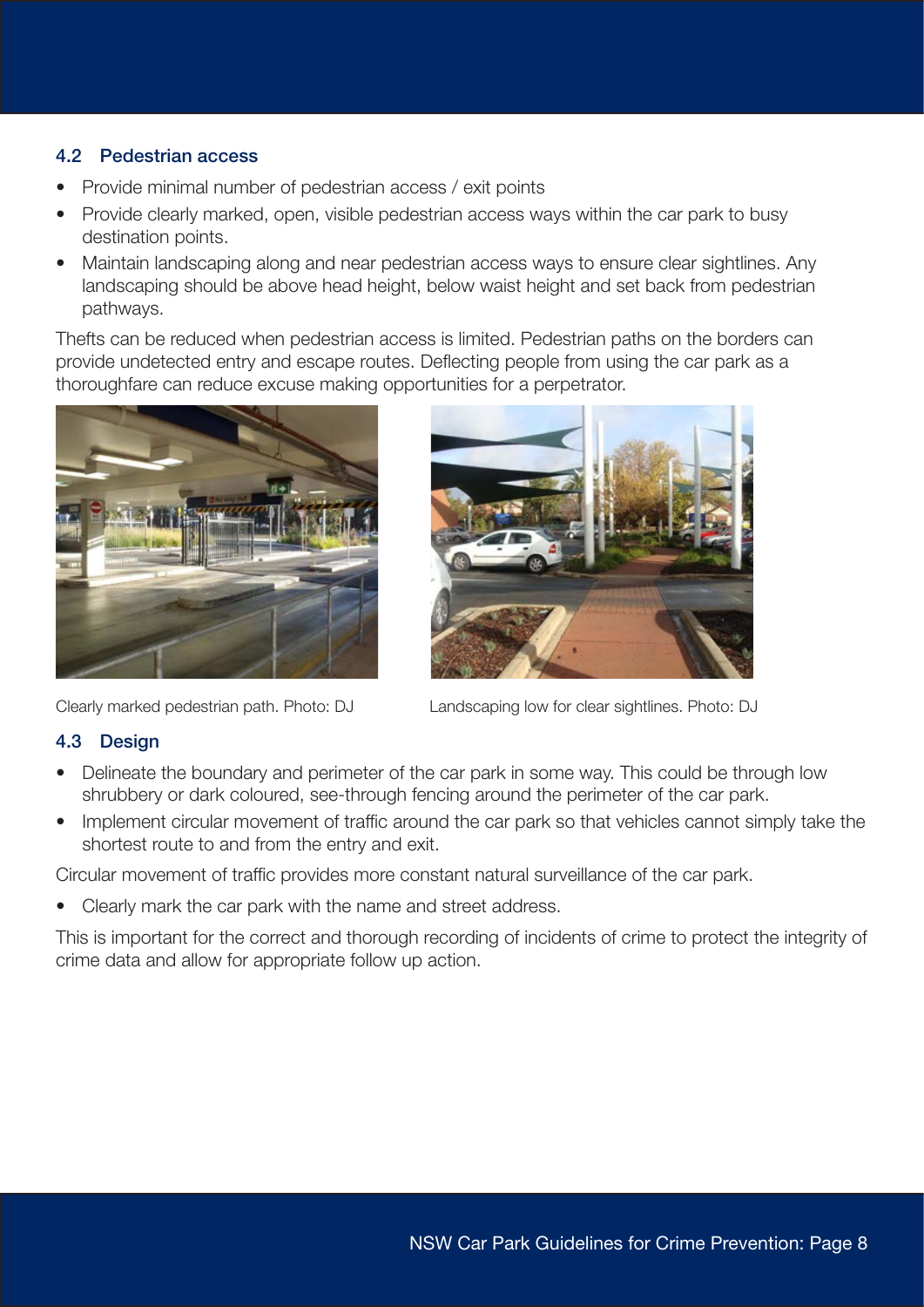#### <span id="page-7-0"></span>4.2 Pedestrian access

- Provide minimal number of pedestrian access / exit points
- Provide clearly marked, open, visible pedestrian access ways within the car park to busy destination points.
- Maintain landscaping along and near pedestrian access ways to ensure clear sightlines. Any landscaping should be above head height, below waist height and set back from pedestrian pathways.

Thefts can be reduced when pedestrian access is limited. Pedestrian paths on the borders can provide undetected entry and escape routes. Deflecting people from using the car park as a thoroughfare can reduce excuse making opportunities for a perpetrator.





Clearly marked pedestrian path. Photo: DJ Landscaping low for clear sightlines. Photo: DJ

### 4.3 Design

- Delineate the boundary and perimeter of the car park in some way. This could be through low shrubbery or dark coloured, see-through fencing around the perimeter of the car park.
- Implement circular movement of traffic around the car park so that vehicles cannot simply take the shortest route to and from the entry and exit.

Circular movement of traffic provides more constant natural surveillance of the car park.

• Clearly mark the car park with the name and street address.

This is important for the correct and thorough recording of incidents of crime to protect the integrity of crime data and allow for appropriate follow up action.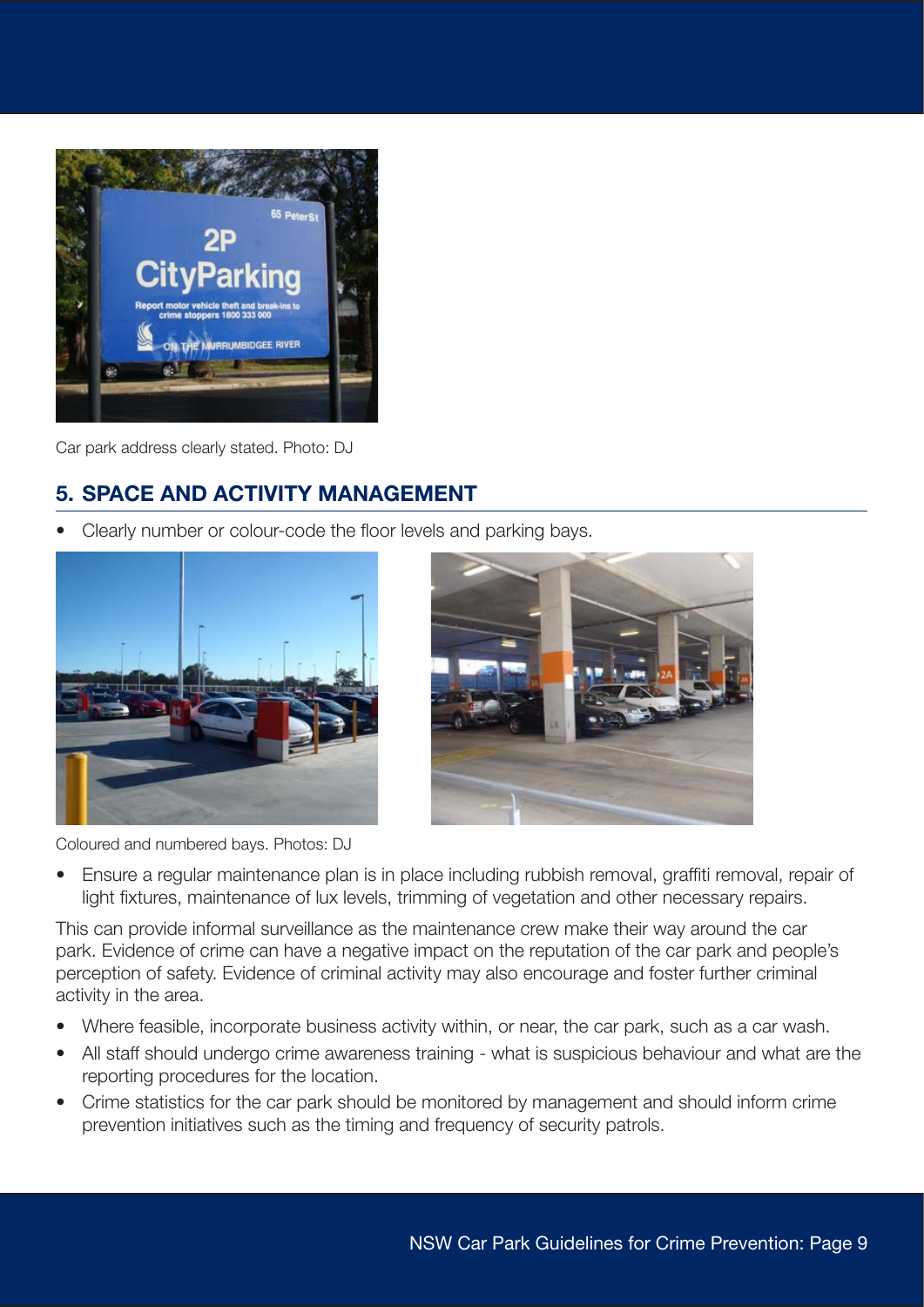<span id="page-8-0"></span>

Car park address clearly stated. Photo: DJ

## 5. SPACE AND ACTIVITY MANAGEMENT

• Clearly number or colour-code the floor levels and parking bays.





Coloured and numbered bays. Photos: DJ

• Ensure a regular maintenance plan is in place including rubbish removal, graffiti removal, repair of light fixtures, maintenance of lux levels, trimming of vegetation and other necessary repairs.

This can provide informal surveillance as the maintenance crew make their way around the car park. Evidence of crime can have a negative impact on the reputation of the car park and people's perception of safety. Evidence of criminal activity may also encourage and foster further criminal activity in the area.

- Where feasible, incorporate business activity within, or near, the car park, such as a car wash.
- All staff should undergo crime awareness training what is suspicious behaviour and what are the reporting procedures for the location.
- Crime statistics for the car park should be monitored by management and should inform crime prevention initiatives such as the timing and frequency of security patrols.